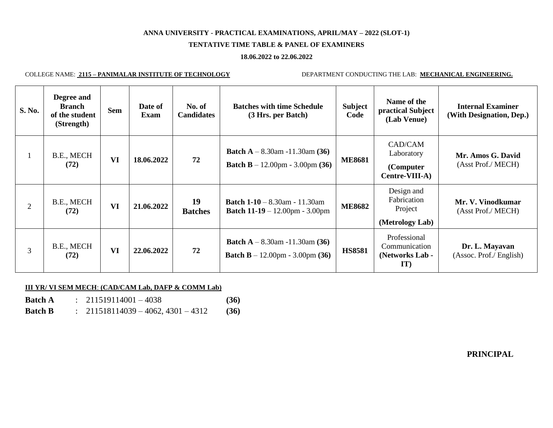# **ANNA UNIVERSITY - PRACTICAL EXAMINATIONS, APRIL/MAY – 2022 (SLOT-1)**

## **TENTATIVE TIME TABLE & PANEL OF EXAMINERS**

#### **18.06.2022 to 22.06.2022**

COLLEGE NAME: **2115 – PANIMALAR INSTITUTE OF TECHNOLOGY** DEPARTMENT CONDUCTING THE LAB: **MECHANICAL ENGINEERING.**

| S. No.         | Degree and<br><b>Branch</b><br>of the student<br>(Strength) | <b>Sem</b> | Date of<br>Exam | No. of<br><b>Candidates</b> | <b>Batches with time Schedule</b><br>(3 Hrs. per Batch)                               | <b>Subject</b><br>Code | Name of the<br>practical Subject<br>(Lab Venue)              | <b>Internal Examiner</b><br>(With Designation, Dep.) |
|----------------|-------------------------------------------------------------|------------|-----------------|-----------------------------|---------------------------------------------------------------------------------------|------------------------|--------------------------------------------------------------|------------------------------------------------------|
|                | B.E., MECH<br>(72)                                          | VI         | 18.06.2022      | 72                          | <b>Batch A</b> $- 8.30$ am $-11.30$ am (36)<br><b>Batch B</b> – 12.00pm - 3.00pm (36) | <b>ME8681</b>          | CAD/CAM<br>Laboratory<br>(Computer)<br><b>Centre-VIII-A)</b> | Mr. Amos G. David<br>(Asst Prof./ MECH)              |
| $\overline{2}$ | B.E., MECH<br>(72)                                          | VI         | 21.06.2022      | 19<br><b>Batches</b>        | <b>Batch 1-10</b> – 8.30am - 11.30am<br><b>Batch 11-19</b> – 12.00pm - 3.00pm         | <b>ME8682</b>          | Design and<br>Fabrication<br>Project<br>(Metrology Lab)      | Mr. V. Vinodkumar<br>(Asst Prof./ MECH)              |
| $\overline{3}$ | B.E., MECH<br>(72)                                          | VI         | 22.06.2022      | 72                          | <b>Batch A</b> $- 8.30$ am $-11.30$ am (36)<br><b>Batch B</b> – 12.00pm - 3.00pm (36) | <b>HS8581</b>          | Professional<br>Communication<br>(Networks Lab -<br>IT)      | Dr. L. Mayavan<br>(Assoc. Prof./ English)            |

## **III YR/ VI SEM MECH**: **(CAD/CAM Lab, DAFP & COMM Lab)**

| <b>Batch A</b> | $: 211519114001 - 4038$                       | (36) |
|----------------|-----------------------------------------------|------|
| <b>Batch B</b> | $\therefore$ 211518114039 - 4062, 4301 - 4312 | (36) |

**PRINCIPAL**